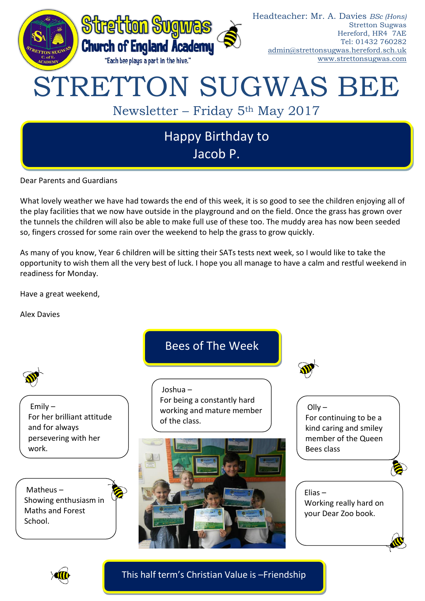

Dear Parents and Guardians

What lovely weather we have had towards the end of this week, it is so good to see the children enjoying all of the play facilities that we now have outside in the playground and on the field. Once the grass has grown over the tunnels the children will also be able to make full use of these too. The muddy area has now been seeded so, fingers crossed for some rain over the weekend to help the grass to grow quickly.

As many of you know, Year 6 children will be sitting their SATs tests next week, so I would like to take the opportunity to wish them all the very best of luck. I hope you all manage to have a calm and restful weekend in readiness for Monday.

Have a great weekend,

Alex Davies



This half term's Christian Value is –Friendship